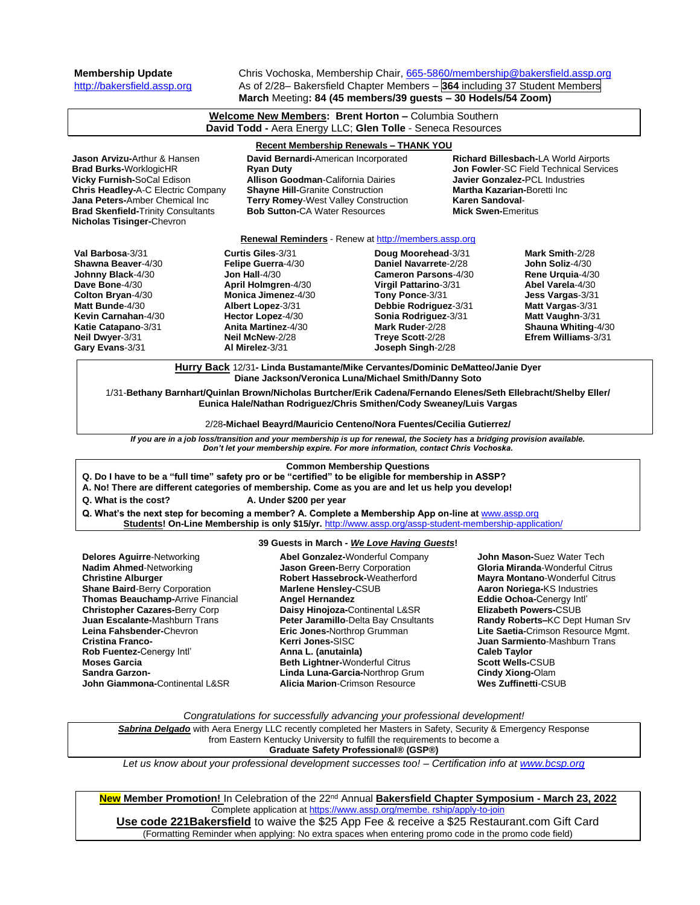**Membership Update** Chris Vochoska, Membership Chair, [665-5860/membership@bakersfield.assp.org](mailto:665-5860/membership@bakersfield.assp.org)<br>http://bakersfield.assp.org As of 2/28– Bakersfield Chapter Members – **364** including 37 Student Members As of 2/28– Bakersfield Chapter Members – 364 including 37 Student Members **March** Meeting**: 84 (45 members/39 guests – 30 Hodels/54 Zoom)**

| Welcome New Members: Brent Horton - Columbia Southern<br>David Todd - Aera Energy LLC; Glen Tolle - Seneca Resources                                                                                                                                                                                                                                                                                                                                                                              |                                                                                                                                                                                                                                                                                                                                                                                                                                                                                                                                                                                                                                                                        |                                                                                                                                                                                                                                      |                                                                                                                                                                                                        |                                                                                                                                                                                                                                                                                                                                                                                                                          |  |  |
|---------------------------------------------------------------------------------------------------------------------------------------------------------------------------------------------------------------------------------------------------------------------------------------------------------------------------------------------------------------------------------------------------------------------------------------------------------------------------------------------------|------------------------------------------------------------------------------------------------------------------------------------------------------------------------------------------------------------------------------------------------------------------------------------------------------------------------------------------------------------------------------------------------------------------------------------------------------------------------------------------------------------------------------------------------------------------------------------------------------------------------------------------------------------------------|--------------------------------------------------------------------------------------------------------------------------------------------------------------------------------------------------------------------------------------|--------------------------------------------------------------------------------------------------------------------------------------------------------------------------------------------------------|--------------------------------------------------------------------------------------------------------------------------------------------------------------------------------------------------------------------------------------------------------------------------------------------------------------------------------------------------------------------------------------------------------------------------|--|--|
| <b>Recent Membership Renewals - THANK YOU</b>                                                                                                                                                                                                                                                                                                                                                                                                                                                     |                                                                                                                                                                                                                                                                                                                                                                                                                                                                                                                                                                                                                                                                        |                                                                                                                                                                                                                                      |                                                                                                                                                                                                        |                                                                                                                                                                                                                                                                                                                                                                                                                          |  |  |
| <b>Jason Arvizu-</b> Arthur & Hansen<br>David Bernardi-American Incorporated<br><b>Brad Burks-WorklogicHR</b><br><b>Ryan Duty</b><br>Vicky Furnish-SoCal Edison<br><b>Allison Goodman-California Dairies</b><br>Chris Headley-A-C Electric Company<br><b>Shayne Hill-Granite Construction</b><br><b>Jana Peters-</b> Amber Chemical Inc<br>Terry Romey-West Valley Construction<br><b>Bob Sutton-CA Water Resources</b><br><b>Brad Skenfield-Trinity Consultants</b><br>Nicholas Tisinger-Chevron |                                                                                                                                                                                                                                                                                                                                                                                                                                                                                                                                                                                                                                                                        |                                                                                                                                                                                                                                      | Richard Billesbach-LA World Airports<br>Jon Fowler-SC Field Technical Services<br><b>Javier Gonzalez-PCL Industries</b><br>Martha Kazarian-Boretti Inc<br>Karen Sandoval-<br><b>Mick Swen-Emeritus</b> |                                                                                                                                                                                                                                                                                                                                                                                                                          |  |  |
| Renewal Reminders - Renew at http://members.assp.org                                                                                                                                                                                                                                                                                                                                                                                                                                              |                                                                                                                                                                                                                                                                                                                                                                                                                                                                                                                                                                                                                                                                        |                                                                                                                                                                                                                                      |                                                                                                                                                                                                        |                                                                                                                                                                                                                                                                                                                                                                                                                          |  |  |
| Val Barbosa-3/31<br>Shawna Beaver-4/30<br>Johnny Black-4/30<br>Dave Bone-4/30<br>Colton Bryan-4/30<br>Matt Bunde-4/30<br>Kevin Carnahan-4/30<br>Katie Catapano-3/31<br>Neil Dwyer-3/31<br>Gary Evans-3/31                                                                                                                                                                                                                                                                                         | Curtis Giles-3/31<br>Felipe Guerra-4/30<br>Jon Hall- $4/30$<br>April Holmgren-4/30<br><b>Monica Jimenez-4/30</b><br>Albert Lopez-3/31<br>Hector Lopez-4/30<br><b>Anita Martinez-4/30</b><br>Neil McNew-2/28<br>Al Mirelez-3/31                                                                                                                                                                                                                                                                                                                                                                                                                                         | Doug Moorehead-3/31<br>Daniel Navarrete-2/28<br><b>Cameron Parsons-4/30</b><br>Virgil Pattarino-3/31<br>Tony Ponce-3/31<br>Debbie Rodriguez-3/31<br>Sonia Rodriguez-3/31<br>Mark Ruder-2/28<br>Treve Scott-2/28<br>Joseph Singh-2/28 |                                                                                                                                                                                                        | Mark Smith-2/28<br>John Soliz-4/30<br>Rene Urquia-4/30<br>Abel Varela-4/30<br>Jess Vargas-3/31<br>Matt Vargas-3/31<br>Matt Vaughn-3/31<br>Shauna Whiting-4/30<br>Efrem Williams-3/31                                                                                                                                                                                                                                     |  |  |
|                                                                                                                                                                                                                                                                                                                                                                                                                                                                                                   | Hurry Back 12/31- Linda Bustamante/Mike Cervantes/Dominic DeMatteo/Janie Dyer                                                                                                                                                                                                                                                                                                                                                                                                                                                                                                                                                                                          |                                                                                                                                                                                                                                      |                                                                                                                                                                                                        |                                                                                                                                                                                                                                                                                                                                                                                                                          |  |  |
| Q. What is the cost?                                                                                                                                                                                                                                                                                                                                                                                                                                                                              | If you are in a job loss/transition and your membership is up for renewal, the Society has a bridging provision available.<br>Don't let your membership expire. For more information, contact Chris Vochoska.<br>Q. Do I have to be a "full time" safety pro or be "certified" to be eligible for membership in ASSP?<br>A. No! There are different categories of membership. Come as you are and let us help you develop!<br>A. Under \$200 per year<br>Q. What's the next step for becoming a member? A. Complete a Membership App on-line at www.assp.org<br>Students! On-Line Membership is only \$15/yr. http://www.assp.org/assp-student-membership-application/ | <b>Common Membership Questions</b>                                                                                                                                                                                                   |                                                                                                                                                                                                        |                                                                                                                                                                                                                                                                                                                                                                                                                          |  |  |
|                                                                                                                                                                                                                                                                                                                                                                                                                                                                                                   |                                                                                                                                                                                                                                                                                                                                                                                                                                                                                                                                                                                                                                                                        |                                                                                                                                                                                                                                      |                                                                                                                                                                                                        |                                                                                                                                                                                                                                                                                                                                                                                                                          |  |  |
| <b>Delores Aguirre-Networking</b><br><b>Nadim Ahmed-Networking</b><br><b>Christine Alburger</b><br><b>Shane Baird-Berry Corporation</b><br>Thomas Beauchamp-Arrive Financial<br><b>Christopher Cazares-Berry Corp</b><br>Juan Escalante-Mashburn Trans<br>Leina Fahsbender-Chevron<br><b>Cristina Franco-</b><br>Rob Fuentez-Cenergy Intl'<br><b>Moses Garcia</b><br><b>Sandra Garzon-</b><br>John Giammona-Continental L&SR                                                                      | Jason Green-Berry Corporation<br><b>Marlene Hensley-CSUB</b><br>Angel Hernandez<br>Eric Jones-Northrop Grumman<br>Kerri Jones-SISC<br>Anna L. (anutainla)<br>Beth Lightner-Wonderful Citrus<br><b>Alicia Marion-Crimson Resource</b>                                                                                                                                                                                                                                                                                                                                                                                                                                   | 39 Guests in March - We Love Having Guests!<br>Abel Gonzalez-Wonderful Company<br>Robert Hassebrock-Weatherford<br>Daisy Hinojoza-Continental L&SR<br>Peter Jaramillo-Delta Bay Cnsultants<br>Linda Luna-Garcia-Northrop Grum        |                                                                                                                                                                                                        | <b>John Mason-</b> Suez Water Tech<br>Gloria Miranda-Wonderful Citrus<br>Mayra Montano-Wonderful Citrus<br>Aaron Noriega-KS Industries<br>Eddie Ochoa-Cenergy Intl'<br><b>Elizabeth Powers-CSUB</b><br>Randy Roberts-KC Dept Human Srv<br>Lite Saetia-Crimson Resource Mgmt.<br>Juan Sarmiento-Mashburn Trans<br><b>Caleb Taylor</b><br><b>Scott Wells-CSUB</b><br><b>Cindy Xiong-Olam</b><br><b>Wes Zuffinetti-CSUB</b> |  |  |
| Congratulations for successfully advancing your professional development!                                                                                                                                                                                                                                                                                                                                                                                                                         |                                                                                                                                                                                                                                                                                                                                                                                                                                                                                                                                                                                                                                                                        |                                                                                                                                                                                                                                      |                                                                                                                                                                                                        |                                                                                                                                                                                                                                                                                                                                                                                                                          |  |  |
| Sabrina Delgado with Aera Energy LLC recently completed her Masters in Safety, Security & Emergency Response<br>from Eastern Kentucky University to fulfill the requirements to become a<br>Graduate Safety Professional® (GSP®)                                                                                                                                                                                                                                                                  |                                                                                                                                                                                                                                                                                                                                                                                                                                                                                                                                                                                                                                                                        |                                                                                                                                                                                                                                      |                                                                                                                                                                                                        |                                                                                                                                                                                                                                                                                                                                                                                                                          |  |  |

*Let us know about your professional development successes too! – Certification info at [www.bcsp.org](http://www.bcsp.org/)*

**New Member Promotion!** In Celebration of the 22 nd Annual **Bakersfield Chapter Symposium - March 23, 2022** Complete application a[t https://www.assp.org/membe. rship/apply-to-join](https://www.assp.org/membe.%20rship/apply-to-join) **Use code 221Bakersfield** to waive the \$25 App Fee & receive a \$25 Restaurant.com Gift Card (Formatting Reminder when applying: No extra spaces when entering promo code in the promo code field)